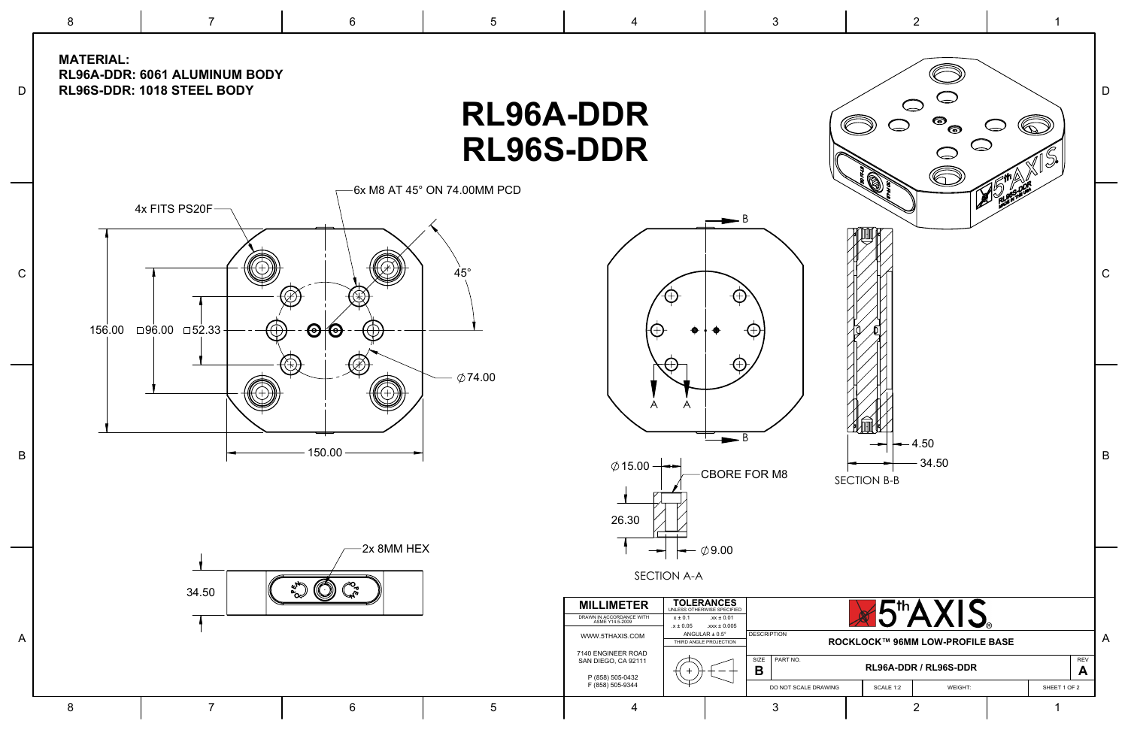8

## **DI QGA-DDD**

7

6

5

4

3



|             |                                                                                                                                                            | KLJOA-DDR<br>$\bullet$<br>$\bigcirc$<br>$\bullet$<br>RL96S-DDR                                                                                                                                                                                                                                                                                                                                                                                                                                                                                                                                                       |                |
|-------------|------------------------------------------------------------------------------------------------------------------------------------------------------------|----------------------------------------------------------------------------------------------------------------------------------------------------------------------------------------------------------------------------------------------------------------------------------------------------------------------------------------------------------------------------------------------------------------------------------------------------------------------------------------------------------------------------------------------------------------------------------------------------------------------|----------------|
| $\mathsf C$ | 6x M8 AT 45° ON 74.00MM PCD<br>4x FITS PS20F-<br>$45^\circ$<br>$\bigoplus$<br>$\boldsymbol{\Theta}$ $\boldsymbol{\Theta}$<br>156.00 □96.00 □52.33<br>Ð<br> | $\bigotimes$<br>$\blacktriangleright$ B<br>A<br>$^{+}$                                                                                                                                                                                                                                                                                                                                                                                                                                                                                                                                                               | C              |
| B           | $\emptyset$ 74.00<br>150.00                                                                                                                                | A<br>$-4.50$<br>$-34.50$<br>$\emptyset$ 15.00 $\rightarrow$<br>CBORE FOR M8<br>SECTION B-B<br>26.30<br><b>Contract Contract</b>                                                                                                                                                                                                                                                                                                                                                                                                                                                                                      | B              |
| A           | 2x 8MM HEX<br>∕℃<br>34.50                                                                                                                                  | $\leftarrow \emptyset$ 9.00<br>SECTION A-A<br><b>TOLERANCES</b><br>UNLESS OTHERWISE SPECIFIED<br><b>X5th AXIS</b><br><b>MILLIMETER</b><br>DRAWN IN ACCORDANCE WITH<br>ASME Y14.5-2009<br>$x \pm 0.1$<br>$.xx \pm 0.01$<br>$.x \pm 0.05$<br>$.xxx \pm 0.005$<br><b>DESCRIPTION</b><br>ANGULAR $\pm$ 0.5°<br>WWW.5THAXIS.COM<br>ROCKLOCK™ 96MM LOW-PROFILE BASE<br>THIRD ANGLE PROJECTION<br>7140 ENGINEER ROAD<br>PART NO.<br>SIZE<br>SAN DIEGO, CA 92111<br>REV<br>RL96A-DDR / RL96S-DDR<br>$\mathbf B$<br>A<br>P (858) 505-0432<br>F (858) 505-9344<br>SCALE 1:2<br>SHEET 1 OF 2<br>DO NOT SCALE DRAWING<br>WEIGHT: | $\overline{A}$ |
|             | 8<br>$6\phantom{1}$<br>$5\phantom{.0}$                                                                                                                     | $\overline{2}$<br>3<br>4                                                                                                                                                                                                                                                                                                                                                                                                                                                                                                                                                                                             |                |

**MATERIAL: RL96A-DDR: 6061 ALUMINUM BODY**